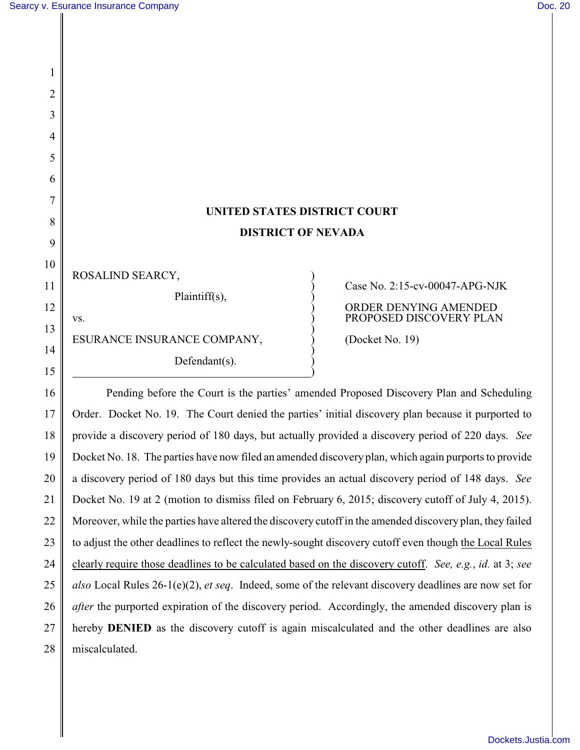1

2

3

4

5

6

7

8

9

10

11

12

13

14

15

## **UNITED STATES DISTRICT COURT DISTRICT OF NEVADA**

 $\big)$ 

)

ROSALIND SEARCY, Plaintiff(s),

vs.  $\overrightarrow{P}$  PROPOSED DISCOVERY PLAN ESURANCE INSURANCE COMPANY,  $\bigcirc$  (Docket No. 19) Defendant $(s)$ .

<u>)</u>

## ) Case No. 2:15-cv-00047-APG-NJK ) ORDER DENYING AMENDED

16 17 18 19 20 21 22 23 24 25 26 27 28 Pending before the Court is the parties' amended Proposed Discovery Plan and Scheduling Order. Docket No. 19. The Court denied the parties' initial discovery plan because it purported to provide a discovery period of 180 days, but actually provided a discovery period of 220 days. *See* Docket No. 18. The parties have now filed an amended discovery plan, which again purports to provide a discovery period of 180 days but this time provides an actual discovery period of 148 days. *See* Docket No. 19 at 2 (motion to dismiss filed on February 6, 2015; discovery cutoff of July 4, 2015). Moreover, while the parties have altered the discovery cutoff in the amended discovery plan, they failed to adjust the other deadlines to reflect the newly-sought discovery cutoff even though the Local Rules clearly require those deadlines to be calculated based on the discovery cutoff. *See, e.g.*, *id.* at 3; *see also* Local Rules 26-1(e)(2), *et seq*. Indeed, some of the relevant discovery deadlines are now set for *after* the purported expiration of the discovery period. Accordingly, the amended discovery plan is hereby **DENIED** as the discovery cutoff is again miscalculated and the other deadlines are also miscalculated.